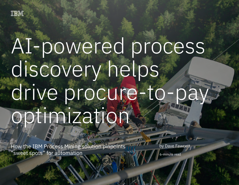

# AI-powered process discovery helps drive procure-to-pay optimization

How the IBM Process Mining solution pinpoints "sweet spots" for automation 1

How the IBM Process Mining solution pinpoints "sweet spots" for automation

by Dave Fawcett

6-minute read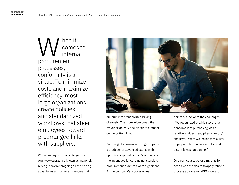hen it comes to internal procurement processes, conformity is a virtue. To minimize costs and maximize efficiency, most large organizations create policies and standardized workflows that steer employees toward prearranged links with suppliers. W

When employees choose to go their own way—a practice known as maverick buying—they're foregoing all the pricing advantages and other efficiencies that



are built into standardized buying channels. The more widespread the maverick activity, the bigger the impact on the bottom line.

For this global manufacturing company, a producer of advanced cables with operations spread across 50 countries, the incentives for curbing nonstandard procurement practices were significant. As the company's process owner

points out, so were the challenges. "We recognized at a high level that noncompliant purchasing was a relatively widespread phenomenon," she says. "What we lacked was a way to pinpoint how, where and to what extent it was happening."

One particularly potent impetus for action was the desire to apply robotic process automation (RPA) tools to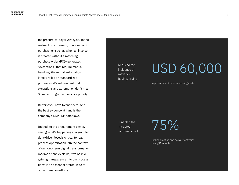the procure-to-pay (P2P) cycle. In the realm of procurement, noncompliant purchasing—such as when an invoice is created without a matching purchase order (PO)—generates "exceptions" that require manual handling. Given that automation largely relies on standardized processes, it's self-evident that exceptions and automation don't mix. So minimizing exceptions is a priority.

But first you have to find them. And the best evidence at hand is the company's SAP ERP data flows.

Indeed, to the procurement owner, seeing what's happening at a granular, data-driven level is critical to real process optimization. "In the context of our long-term digital transformation roadmap," she explains, "we believe gaining transparency into our process flows is an essential prerequisite to our automation efforts."

Reduced the incidence of maverick buying, saving

### USD 60,000

in procurement order reworking costs

Enabled the targeted automation of 75%

of line creation and delivery activities using RPA tools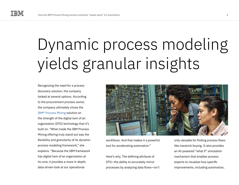## Dynamic process modeling yields granular insights

Recognizing the need for a process discovery solution, the company looked at several options. According to the procurement process owner, the company ultimately chose the [IBM® Process Mining](https://www.ibm.com/cloud/cloud-pak-for-business-automation/process-mining) solution on the strength of the digital twin of an organization (DTO) technology that it's built on. "What made the IBM Process Mining offering truly stand out was the flexibility and granularity of its dynamic process modeling framework," she explains. "Because the IBM framework has digital twin of an organization at its core, it provides a more in-depth, data-driven look at our operational



workflows. And that makes it a powerful tool for accelerating automation."

Here's why. The defining attribute of DTO—the ability to accurately mirror processes by analyzing data flows—isn't only valuable for finding process flaws like maverick buying. It also provides an AI-powered "what if" simulation mechanism that enables process experts to visualize how specific improvements, including automation,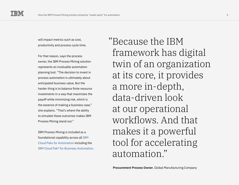will impact metrics such as cost, productivity and process cycle time.

For that reason, says the process owner, the IBM Process Mining solution represents an invaluable automation planning tool. "The decision to invest in process automation is ultimately about anticipated business value. But the harder thing is to balance finite resource investments in a way that maximizes the payoff while minimizing risk, which is the essence of making a business case," she explains. "That's where the ability to simulate these outcomes makes IBM Process Mining stand out."

IBM Process Mining is included as a foundational capability across all [IBM](https://www.ibm.com/cloud/automation)  [Cloud Paks for Automation](https://www.ibm.com/cloud/automation) including the [IBM Cloud Pak® for Business Automation](https://www.ibm.com/cloud/cloud-pak-for-business-automation). Because the IBM " framework has digital twin of an organization at its core, it provides a more in-depth, data-driven look at our operational workflows. And that makes it a powerful tool for accelerating automation."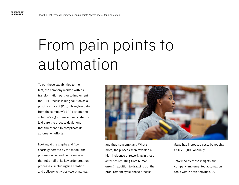### From pain points to automation

To put these capabilities to the test, the company worked with its transformation partner to implement the IBM Process Mining solution as a proof of concept (PoC). Using live data from the company's ERP system, the solution's algorithms almost instantly laid bare the process deviations that threatened to complicate its automation efforts.

Looking at the graphs and flow charts generated by the model, the process owner and her team saw that fully half of its key order creation processes—including line creation and delivery activities—were manual



and thus noncompliant. What's more, the process scan revealed a high incidence of reworking in these activities resulting from human error. In addition to dragging out the procurement cycle, these process

flaws had increased costs by roughly USD 250,000 annually.

Informed by these insights, the company implemented automation tools within both activities. By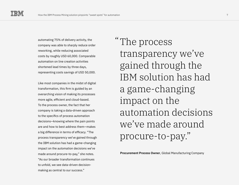automating 75% of delivery activity, the company was able to sharply reduce order reworking, while reducing associated costs by roughly USD 60,000. Comparable automation on line creation activities shortened lead times by three days, representing costs savings of USD 50,000.

Like most companies in the midst of digital transformation, this firm is guided by an overarching vision of making its processes more agile, efficient and cloud-based. To the process owner, the fact that her company is taking a data-driven approach to the specifics of process automation decisions—knowing where the pain points are and how to best address them—makes a big difference in terms of efficacy. "The process transparency we've gained through the IBM solution has had a game-changing impact on the automation decisions we've made around procure-to-pay," she notes. "As our broader transformation continues to unfold, we see data-driven decisionmaking as central to our success."

The process "transparency we've gained through the IBM solution has had a game-changing impact on the automation decisions we've made around procure-to-pay."

**Procurement Process Owner**, Global Manufacturing Company